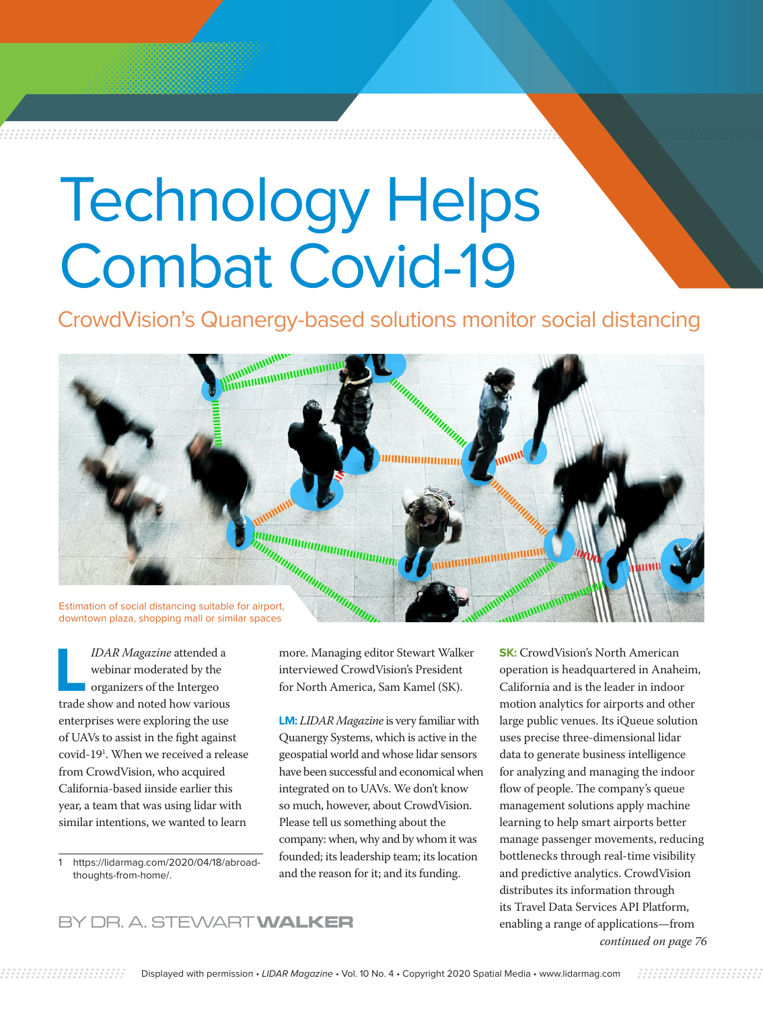## Technology Helps Combat Covid-19

CrowdVision's Quanergy-based solutions monitor social distancing



downtown plaza, shopping mall or similar spaces

**L***IDAR Magazine* attended a webinar moderated by the organizers of the Intergeo trade show and noted how various enterprises were exploring the use of UAVs to assist in the fight against covid-191 . When we received a release from CrowdVision, who acquired California-based iinside earlier this year, a team that was using lidar with similar intentions, we wanted to learn

1 [https://lidarmag.com/2020/04/18/abroad](https://lidarmag.com/2020/04/18/abroad-thoughts-from-home/)[thoughts-from-home/.](https://lidarmag.com/2020/04/18/abroad-thoughts-from-home/)

more. Managing editor Stewart Walker interviewed CrowdVision's President for North America, Sam Kamel (SK).

**LM:** *LIDAR Magazine* is very familiar with Quanergy Systems, which is active in the geospatial world and whose lidar sensors have been successful and economical when integrated on to UAVs. We don't know so much, however, about CrowdVision. Please tell us something about the company: when, why and by whom it was founded; its leadership team; its location and the reason for it; and its funding.

**SK:** CrowdVision's North American operation is headquartered in Anaheim, California and is the leader in indoor motion analytics for airports and other large public venues. Its iQueue solution uses precise three-dimensional lidar data to generate business intelligence for analyzing and managing the indoor flow of people. The company's queue management solutions apply machine learning to help smart airports better manage passenger movements, reducing bottlenecks through real-time visibility and predictive analytics. CrowdVision distributes its information through its Travel Data Services API Platform,

## BY DR. A. STEWART **WALKER** enabling a range of applications—from

*continued on page 76*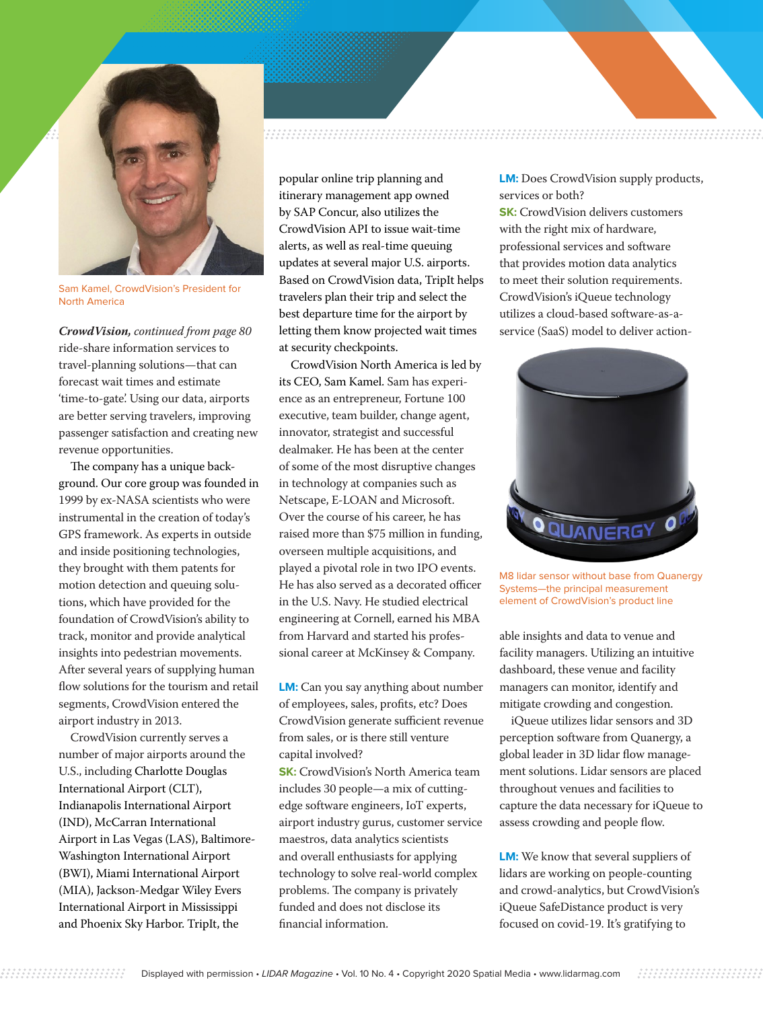

Sam Kamel, CrowdVision's President for North America

ride-share information services to travel-planning solutions—that can forecast wait times and estimate 'time-to-gate'. Using our data, airports are better serving travelers, improving passenger satisfaction and creating new revenue opportunities. *CrowdVision, continued from page 80*

The company has a unique background. Our core group was founded in 1999 by ex-NASA scientists who were instrumental in the creation of today's GPS framework. As experts in outside and inside positioning technologies, they brought with them patents for motion detection and queuing solutions, which have provided for the foundation of CrowdVision's ability to track, monitor and provide analytical insights into pedestrian movements. After several years of supplying human flow solutions for the tourism and retail segments, CrowdVision entered the airport industry in 2013.

CrowdVision currently serves a number of major airports around the U.S., including Charlotte Douglas International Airport (CLT), Indianapolis International Airport (IND), McCarran International Airport in Las Vegas (LAS), Baltimore-Washington International Airport (BWI), Miami International Airport (MIA), Jackson-Medgar Wiley Evers International Airport in Mississippi and Phoenix Sky Harbor. TripIt, the

## 

popular online trip planning and itinerary management app owned by SAP Concur, also utilizes the CrowdVision API to issue wait-time alerts, as well as real-time queuing updates at several major U.S. airports. Based on CrowdVision data, TripIt helps travelers plan their trip and select the best departure time for the airport by letting them know projected wait times at security checkpoints.

CrowdVision North America is led by its CEO, Sam Kamel. Sam has experience as an entrepreneur, Fortune 100 executive, team builder, change agent, innovator, strategist and successful dealmaker. He has been at the center of some of the most disruptive changes in technology at companies such as Netscape, E-LOAN and Microsoft. Over the course of his career, he has raised more than \$75 million in funding, overseen multiple acquisitions, and played a pivotal role in two IPO events. He has also served as a decorated officer in the U.S. Navy. He studied electrical engineering at Cornell, earned his MBA from Harvard and started his professional career at McKinsey & Company.

**LM:** Can you say anything about number of employees, sales, profits, etc? Does CrowdVision generate sufficient revenue from sales, or is there still venture capital involved?

**SK:** CrowdVision's North America team includes 30 people—a mix of cuttingedge software engineers, IoT experts, airport industry gurus, customer service maestros, data analytics scientists and overall enthusiasts for applying technology to solve real-world complex problems. The company is privately funded and does not disclose its financial information.

**LM:** Does CrowdVision supply products, services or both?

**SK:** CrowdVision delivers customers with the right mix of hardware, professional services and software that provides motion data analytics to meet their solution requirements. CrowdVision's iQueue technology utilizes a cloud-based software-as-aservice (SaaS) model to deliver action-



M8 lidar sensor without base from Quanergy Systems—the principal measurement element of CrowdVision's product line

able insights and data to venue and facility managers. Utilizing an intuitive dashboard, these venue and facility managers can monitor, identify and mitigate crowding and congestion.

iQueue utilizes lidar sensors and 3D perception software from Quanergy, a global leader in 3D lidar flow management solutions. Lidar sensors are placed throughout venues and facilities to capture the data necessary for iQueue to assess crowding and people flow.

**LM:** We know that several suppliers of lidars are working on people-counting and crowd-analytics, but CrowdVision's iQueue SafeDistance product is very focused on covid-19. It's gratifying to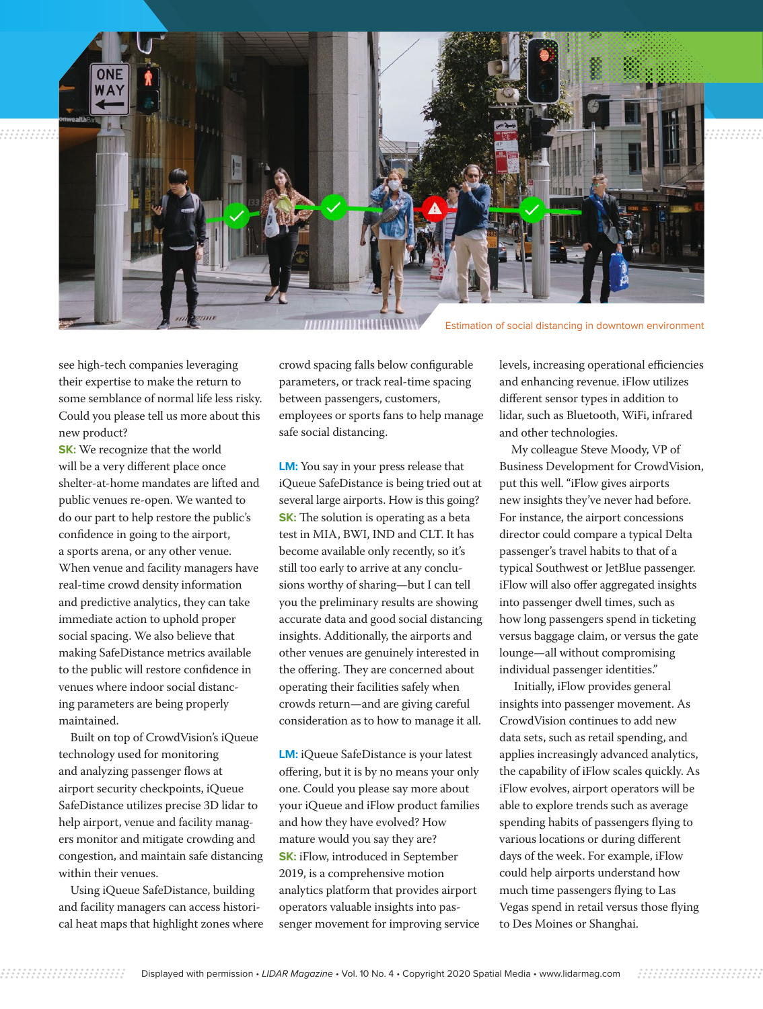

Estimation of social distancing in downtown environment

see high-tech companies leveraging their expertise to make the return to some semblance of normal life less risky. Could you please tell us more about this new product?

**SK:** We recognize that the world will be a very different place once shelter-at-home mandates are lifted and public venues re-open. We wanted to do our part to help restore the public's confidence in going to the airport, a sports arena, or any other venue. When venue and facility managers have real-time crowd density information and predictive analytics, they can take immediate action to uphold proper social spacing. We also believe that making SafeDistance metrics available to the public will restore confidence in venues where indoor social distancing parameters are being properly maintained.

Built on top of CrowdVision's iQueue technology used for monitoring and analyzing passenger flows at airport security checkpoints, iQueue SafeDistance utilizes precise 3D lidar to help airport, venue and facility managers monitor and mitigate crowding and congestion, and maintain safe distancing within their venues.

Using iQueue SafeDistance, building and facility managers can access historical heat maps that highlight zones where crowd spacing falls below configurable parameters, or track real-time spacing between passengers, customers, employees or sports fans to help manage safe social distancing.

**LM:** You say in your press release that iQueue SafeDistance is being tried out at several large airports. How is this going? **SK:** The solution is operating as a beta test in MIA, BWI, IND and CLT. It has become available only recently, so it's still too early to arrive at any conclusions worthy of sharing—but I can tell you the preliminary results are showing accurate data and good social distancing insights. Additionally, the airports and other venues are genuinely interested in the offering. They are concerned about operating their facilities safely when crowds return—and are giving careful consideration as to how to manage it all.

**LM:** iQueue SafeDistance is your latest offering, but it is by no means your only one. Could you please say more about your iQueue and iFlow product families and how they have evolved? How mature would you say they are? **SK:** iFlow, introduced in September 2019, is a comprehensive motion analytics platform that provides airport operators valuable insights into passenger movement for improving service levels, increasing operational efficiencies and enhancing revenue. iFlow utilizes different sensor types in addition to lidar, such as Bluetooth, WiFi, infrared and other technologies.

My colleague Steve Moody, VP of Business Development for CrowdVision, put this well. "iFlow gives airports new insights they've never had before. For instance, the airport concessions director could compare a typical Delta passenger's travel habits to that of a typical Southwest or JetBlue passenger. iFlow will also offer aggregated insights into passenger dwell times, such as how long passengers spend in ticketing versus baggage claim, or versus the gate lounge—all without compromising individual passenger identities."

 Initially, iFlow provides general insights into passenger movement. As CrowdVision continues to add new data sets, such as retail spending, and applies increasingly advanced analytics, the capability of iFlow scales quickly. As iFlow evolves, airport operators will be able to explore trends such as average spending habits of passengers flying to various locations or during different days of the week. For example, iFlow could help airports understand how much time passengers flying to Las Vegas spend in retail versus those flying to Des Moines or Shanghai.